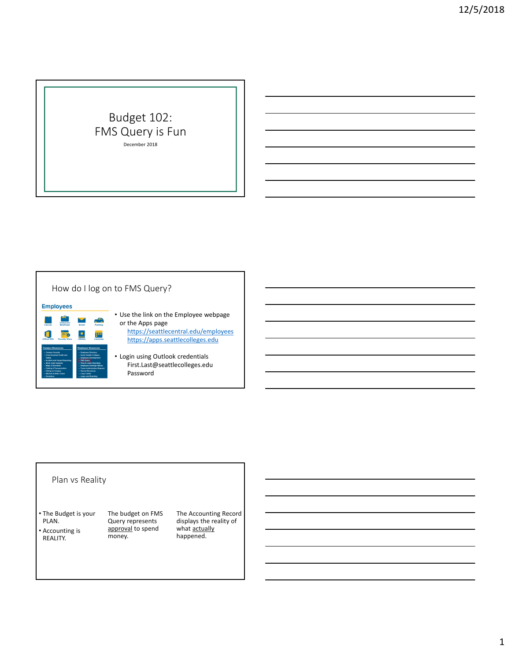# Budget 102: FMS Query is Fun December 2018

## How do I log on to FMS Query?

**Employees** or the Apps page  $\bullet$ m https://apps.seattlecolleges.edu

# • Use the link on the Employee webpage https://seattlecentral.edu/employees

• Login using Outlook credentials First.Last@seattlecolleges.edu Password

#### Plan vs Reality

• The Budget is your PLAN.

• Accounting is REALITY.

O

The budget on FMS Query represents approval to spend money.

The Accounting Record displays the reality of what actually happened.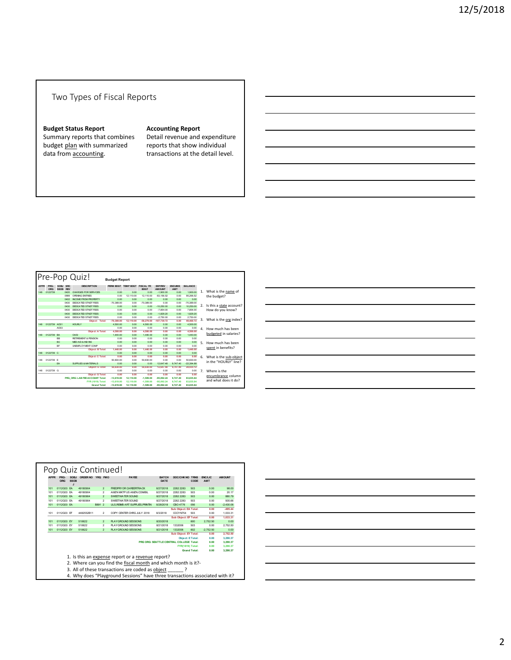### Two Types of Fiscal Reports

#### **Budget Status Report**

Summary reports that combines budget plan with summarized data from accounting.

#### **Accounting Report**

Detail revenue and expenditure reports that show individual transactions at the detail level.

|             |              |                                       | Pre-Pop Quiz!                   | <b>Budget Report</b>          |           |              |                                 |                       |                |                |                          |  |
|-------------|--------------|---------------------------------------|---------------------------------|-------------------------------|-----------|--------------|---------------------------------|-----------------------|----------------|----------------|--------------------------|--|
| <b>APPR</b> | PRG-<br>ORG  | SOBJ SRC<br><b>SSOB</b><br><b>REV</b> | <b>DESCRIPTION</b>              | PERM BDGT TEMP BDGT FISCAL YR |           | <b>BDGT</b>  | <b>EXP/REV</b><br><b>AMOUNT</b> | <b>ENCLIMB</b><br>AMT | <b>BALANCE</b> |                |                          |  |
| 148         | 0122739      | 0420                                  | CHARGES FOR SERVICES            | 0.00                          | 0.00      | 0.00         | $-1.900.00$                     | 0.00                  | 1.900.00       | 1.             | What is the name of      |  |
|             |              | 0999                                  | OPENING ENTRIES                 | 0.00                          | 12.110.00 | 12.110.00    | $-83.156.52$                    | 0.00                  | 95.266.52      |                | the budget?              |  |
|             |              | 0402                                  | INCOME EROM PROPERTY            | 0.00                          | 0.00      | 0.00         | 0.00                            | 0.00                  | 0.00           |                |                          |  |
|             |              | 0430                                  | DEDICATED STNDT FEES            | $-70.389.00$                  | 0.00      | $-70.389.00$ | 0.00                            | 0.00                  | $-70.389.00$   |                |                          |  |
|             |              | 0430                                  | <b>DEDICATED STNDT FEES</b>     | 0.00                          | 0.00      | 0.00         | $-10.250.00$                    | 0.00                  | 10.250.00      | 2.             | Is this a state account? |  |
|             |              | 0430                                  | <b>DEDICATED STNDT FEES</b>     | 0.00                          | 0.00      | 0.00         | $-7.854.00$                     | 0.00                  | 7.854.00       |                | How do you know?         |  |
|             |              | 0430                                  | <b>DEDICATED STNDT FEES</b>     | 0.00                          | 0.00      | 0.00         | $-1.829.20$                     | 0.00                  | 1.829.20       |                |                          |  |
|             |              | 0430                                  | <b>DEDICATED STNDT FEES</b>     | 0.00                          | 0.00      | 0.00         | $-2.750.00$                     | 0.00                  | 2.750.00       |                |                          |  |
|             |              |                                       | Object: Total:                  | $-70.389.00$                  | 12,110.00 | $-58,279.00$ | $-107.739.72$                   | 0.00                  | 49,460.72      | 3.             | What is the org index?   |  |
| 148         | 0122739 AD01 |                                       | <b>HOURLY</b>                   | 4.500.00                      | 0.00      | 4.500.00     | 0.00                            | 0.00                  | 4.500.00       |                |                          |  |
|             |              | AD03                                  |                                 | 0.00                          | 0.00      | 0.00         | 0.00                            | 0.00                  | 0.00           | $\overline{a}$ | How much has been        |  |
|             |              |                                       | Object: A Total:                | 4.500.00                      | 0.00      | 4.500.00     | 0.00                            | 0.00                  | 4.500.00       |                | budgeted in salaries?    |  |
| 148         | 0122739      | <b>BA</b>                             | OASI                            | 1,440.00                      | 0.00      | 1,440.00     | 0.00                            | 0.00                  | 1,440.00       |                |                          |  |
|             |              | <b>BB</b>                             | <b>RETIREMENT &amp; PENSION</b> | 0.00                          | 0.00      | 0.00         | 0.00                            | 0.00                  | 0.00           |                |                          |  |
|             |              | BC                                    | MED AID & IND INS               | 0.00                          | 0.00      | 0.00         | 0.00                            | 0.00                  | 0.00           | 5.             | How much has been        |  |
|             |              | <b>RF</b>                             | UNEMPLOYMENT COMP               | 0.00                          | 0.00      | 0.00         | 0.00                            | 0.00                  | 0.00           |                | spent in benefits?       |  |
|             |              |                                       | <b>Object: B Total:</b>         | 1,440.00                      | 0.00      | 1,440.00     | 0.00                            | 0.00                  | 1,440.00       |                |                          |  |
| 148         | 0122739 C    |                                       |                                 | 0.00                          | 0.00      | 0.00         | 0.00                            | 0.00                  | 0.00           |                |                          |  |
|             |              |                                       | Object: C Total:                | 0.00                          | 0.00      | 0.00         | 0.00                            | 0.00                  | 0.00           | б.             | What is the sub-object   |  |
| 148         | 0122739 F    |                                       |                                 | 50.830.00                     | 0.00      | 50.830.00    | 0.00                            | 0.00                  | 50,830.00      |                | in the "HOURLY" line?    |  |
|             |              | EA                                    | <b>SUPPLIES &amp; MATERIALS</b> | 0.00                          | 0.00      | 0.00         | 12.647.48                       | 9.747.40              | $-22.394.88$   |                |                          |  |
|             |              |                                       | <b>Object: ETotal:</b>          | 50.830.00                     | 0.00      | 50,830.00    | 12.647.48                       | 9.747.40              | 28.435.12      |                |                          |  |
| 148         | 0122739 G    |                                       |                                 | 0.00                          | 0.00      | 0.00         | 0.00                            | 0.00                  | 0.00           | 7 <sup>1</sup> | Where is the             |  |
|             |              |                                       | <b>Object: G Total:</b>         | 0.00                          | 0.00      | 0.00         | 0.00                            | 0.00                  | 0.00           |                | encumbrance column       |  |
|             |              |                                       | PRG ORG: LAB FEE ACCOUNT Total: | $-13.619.00$                  | 12,110.00 | $-1.509.00$  | $-95.092.24$                    | 9.747.40              | 83.835.84      |                | and what does it do?     |  |
|             |              |                                       | <b>FYR (1819) Total:</b>        | $-13.619.00$                  | 12.110.00 | $-1.509.00$  | $-95.092.24$                    | 9.747.40              | 83,835.84      |                |                          |  |
|             |              |                                       | <b>Grand Total:</b>             | $-13.619.00$                  | 12,110.00 | $-1.509.00$  | $-95.092.24$                    | 9.747.40              | 83.835.84      |                |                          |  |

| <u> 1989 - Johann Stoff, amerikansk politiker (d. 1989)</u>                                                                                                                                                                   |  |
|-------------------------------------------------------------------------------------------------------------------------------------------------------------------------------------------------------------------------------|--|
|                                                                                                                                                                                                                               |  |
| <u> 1989 - Johann Stoff, amerikansk politiker (d. 1989)</u>                                                                                                                                                                   |  |
| <u> 1989 - Johann Stoff, deutscher Stoff, der Stoff, der Stoff, der Stoff, der Stoff, der Stoff, der Stoff, der S</u>                                                                                                         |  |
|                                                                                                                                                                                                                               |  |
|                                                                                                                                                                                                                               |  |
| <u> 1989 - Johann Stoff, amerikansk politiker (* 1908)</u>                                                                                                                                                                    |  |
|                                                                                                                                                                                                                               |  |
|                                                                                                                                                                                                                               |  |
| the control of the control of the control of the control of the control of the control of the control of the control of the control of the control of the control of the control of the control of the control of the control |  |

| <b>APPR</b>                                                                                                                                                             | PRG-<br><b>ORG</b> | SORI<br><b>SSOB</b><br>J | ORDER NO YRQ FMO |        |                | PAYEE                                | <b>RATCH</b><br>DATE | DOC/CHK NO TRNS                         | CODE                | <b>ENC/LIC</b><br>AMT | <b>AMOUNT</b> |  |
|-------------------------------------------------------------------------------------------------------------------------------------------------------------------------|--------------------|--------------------------|------------------|--------|----------------|--------------------------------------|----------------------|-----------------------------------------|---------------------|-----------------------|---------------|--|
| 101                                                                                                                                                                     | 0112G03 FA         |                          | 49180904         |        | $\overline{2}$ | FREDRY OR CARFERTRACK                | 8/27/2018            | 2282 2283                               | 503                 | 0.00                  | 98.00         |  |
| 101                                                                                                                                                                     | 0112G03 EA         |                          | 49180904         |        | $\overline{a}$ | AMZN MKTP US AMZN COM/RIL            | 8/27/2018            | 2282 2283                               | 503                 | 0.00                  | 20.17         |  |
| 101                                                                                                                                                                     | 0112G03 EA         |                          | 49180904         |        | $\overline{2}$ | SWEETWATER SOUND                     | 8/27/2018            | 2282 2283                               | 503                 | 0.00                  | 880.79        |  |
| 101                                                                                                                                                                     | 0112G03 FA         |                          | 49180904         |        | $\overline{a}$ | SWEETWATER SOLIND                    | 8/27/2018            | 2282 2283                               | 503                 | 0.00                  | 935.66        |  |
| 101                                                                                                                                                                     | 0112G03 EA         |                          |                  | B891 2 |                | <b>ULS.REMB ART SUPPLIES.PRINTIN</b> | 8/28/2018            | CRO 4776                                | 056                 | 0.00                  | $-2.430.06$   |  |
|                                                                                                                                                                         |                    |                          |                  |        |                |                                      |                      | <b>Sub Object: EA Total:</b>            |                     | 0.00                  | $-495.44$     |  |
| 101                                                                                                                                                                     | 0112G03 EF         |                          | 4482552B11       |        | $\overline{2}$ | COPY CENTER CHRG JULY 2018           | 8/3/2018             | CCCYN754                                | 503                 | 0.00                  | 1.033.31      |  |
|                                                                                                                                                                         |                    |                          |                  |        |                |                                      |                      | Sub Obiect: EF Total:                   |                     | 0.00                  | 1.033.31      |  |
| 101                                                                                                                                                                     | 0112G03 EY         |                          | 510622           |        | $\overline{2}$ | <b>PLAY GROUND SESSIONS</b>          | 8/20/2018            |                                         | 600                 | 2.752.50              | 0.00          |  |
| 101                                                                                                                                                                     | 0112G03 EY         |                          | 510622           |        | $\overline{a}$ | <b>PLAY GROUND SESSIONS</b>          | 8/21/2018            | 1332006                                 | 503                 | 0.00                  | 2.752.50      |  |
| 101                                                                                                                                                                     | 0112G03 EY         |                          | 510622           |        | $\overline{z}$ | <b>PLAY GROUND SESSIONS</b>          | 8/21/2018            | 1332006                                 | 602                 | $-2.752.50$           | 0.00          |  |
|                                                                                                                                                                         |                    |                          |                  |        |                |                                      |                      | Sub Object: EY Total:                   |                     | 0.00                  | 2.752.50      |  |
|                                                                                                                                                                         |                    |                          |                  |        |                |                                      |                      | Object: ETotal:                         |                     | 0.00                  | 3.290.37      |  |
|                                                                                                                                                                         |                    |                          |                  |        |                |                                      |                      | PRG ORG: SEATTLE CENTRAL COLLEGE Total: |                     | 0.00                  | 3.290.37      |  |
|                                                                                                                                                                         |                    |                          |                  |        |                |                                      |                      | <b>FYR(1819) Total:</b>                 |                     | 0.00                  | 3.290.37      |  |
|                                                                                                                                                                         |                    |                          |                  |        |                |                                      |                      |                                         | <b>Grand Total:</b> | 0.00                  | 3.290.37      |  |
| 1. Is this an expense report or a revenue report?<br>2. Where can you find the fiscal month and which month is it?-<br>3. All of these transactions are coded as object |                    |                          |                  |        |                |                                      |                      |                                         |                     |                       |               |  |

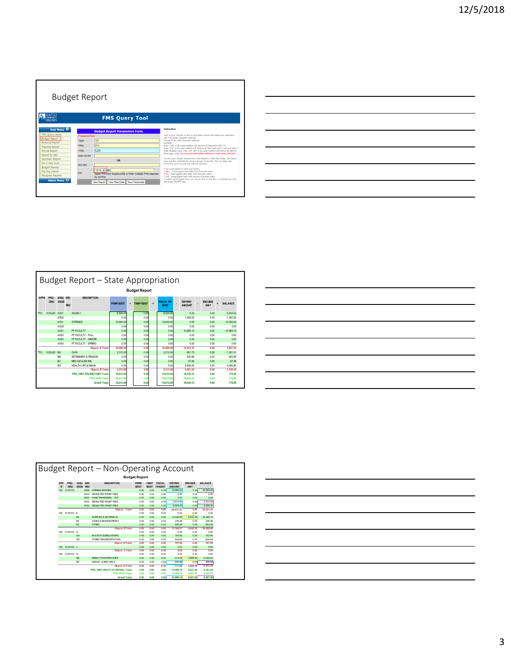|                       | <b>Budget Report</b> |                                                              |                                                                                                                                                                    |
|-----------------------|----------------------|--------------------------------------------------------------|--------------------------------------------------------------------------------------------------------------------------------------------------------------------|
| <b>CONNUNITY</b>      |                      | <b>FMS Query Tool</b>                                        |                                                                                                                                                                    |
| User Menu             |                      | <b>Budget Report Parameters Form</b>                         | <b>Toshurtion</b>                                                                                                                                                  |
| <b>FMS Ouery Home</b> | (")required field    |                                                              | Type in your choices or click on the down arrows and make your selections.                                                                                         |
| <b>Budget Report</b>  | Appr                 | 101                                                          | Use * as single character wildcard.<br>OR use % as multi character wildcard.                                                                                       |
| Revenue Report        |                      |                                                              | ecample:                                                                                                                                                           |
| <b>Expense Report</b> | <b>PRG</b>           | $ 012\rangle$                                                | Enter '14%' in the appr textbox will retrieve all data start with '14"<br>Enter '1°5' in the appr textbox will retrieve all data start with 1 and end with 5       |
| <b>Payroll Report</b> | <b>ORG</b>           | 5J20                                                         | Enter Multiple value '148, 149, 104' in the appr textbox will retrive all data for<br>those appr code. You can only enter either wildcard or multi value. Not both |
| Payroll by SID        | SOB1-SSOB1           |                                                              |                                                                                                                                                                    |
| <b>Summary Report</b> |                      | OR                                                           | To view your results, choose from View Report or View Raw Data. The report<br>view includes subtotals for various groups of records. The raw data view             |
| Pre 5 Year Sum        | <b>SRC REV</b>       |                                                              | shows the same records but without subtotals.                                                                                                                      |
| <b>Budget Planner</b> |                      | $1819 \vee$ be                                               | * You must select or enter one choice.                                                                                                                             |
| Pra Ora Search        | <b>EYR</b>           | Select FYR from dropdownlist or Enter multiple FYRs separate | * Appr - Autosuppest start after first character enter.<br>* Pro - Autosuppest start after first character enter.                                                  |
| My saved Reports      |                      | by comma.                                                    | * Org - Autosuggest start after second character enter.<br>To select autosuggest item, use mouse click on the item or highlight the item                           |
| Admin Menu D          |                      | View Report View Raw Data Save Parameter                     | and press "ENTER" kev.                                                                                                                                             |
|                       |                      |                                                              |                                                                                                                                                                    |

| <u> 1989 - Andrea Santa Andrea Andrea Andrea Andrea Andrea Andrea Andrea Andrea Andrea Andrea Andrea Andrea Andr</u>   |  |  |
|------------------------------------------------------------------------------------------------------------------------|--|--|
| <u> 1989 - Johann Stoff, deutscher Stoff, der Stoff, der Stoff, der Stoff, der Stoff, der Stoff, der Stoff, der S</u>  |  |  |
| <u> 1989 - Johann Barn, mars ann an t-Amhainn an t-Amhainn an t-Amhainn an t-Amhainn an t-Amhainn an t-Amhainn an</u>  |  |  |
| <u> 1989 - Johann Barn, mars and de Branch Barn, mars and de Branch Barn, mars and de Branch Barn, mars and de Br</u>  |  |  |
| <u> 1989 - Johann Barn, mars ann an t-Amhainn an t-Amhainn an t-Amhainn an t-Amhainn an t-Amhainn an t-Amhainn an</u>  |  |  |
| <u> 1989 - Johann Barn, mars ann an t-Amhainn an t-Amhainn an t-Amhainn an t-Amhainn an t-Amhainn an t-Amhainn an </u> |  |  |
| <u> 1989 - Johann Stoff, amerikansk politiker (d. 1989)</u>                                                            |  |  |
|                                                                                                                        |  |  |

 $\overline{a}$ 

|     | Budget Report – State Appropriation<br><b>Budget Report</b>                                                                                                                                                                                                         |                  |  |                           |           |  |      |  |           |           |      |  |              |  |  |
|-----|---------------------------------------------------------------------------------------------------------------------------------------------------------------------------------------------------------------------------------------------------------------------|------------------|--|---------------------------|-----------|--|------|--|-----------|-----------|------|--|--------------|--|--|
|     | <b>APPR</b><br>PRG-<br>SOBJ SRC<br><b>DESCRIPTION</b><br><b>SSOB</b><br>ORG<br><b>EXP/REV</b><br><b>ENCLIMB</b><br><b>FISCAL YR</b><br><b>BALANCE</b><br><b>PFRM BDGT</b><br><b>TEMP BDGT</b><br>÷<br>$=$<br>٠<br><b>REV</b><br><b>AMOUNT</b><br>AMT<br><b>BDGT</b> |                  |  |                           |           |  |      |  |           |           |      |  |              |  |  |
| 101 | 0125J20 AD01                                                                                                                                                                                                                                                        |                  |  | HOLELY                    | 6,500.00  |  | 0.00 |  | 6,500.00  | 0.00      | 0.00 |  | 6.500.00     |  |  |
|     |                                                                                                                                                                                                                                                                     | AD02             |  | ÷.                        | 0.00      |  | 0.00 |  | 0.00      | 1.592.55  | 0.00 |  | $-1.592.55$  |  |  |
|     |                                                                                                                                                                                                                                                                     | AF01             |  | <b>STIPENDS</b>           | 10.000.00 |  | 0.00 |  | 10,000.00 | 0.00      | 0.00 |  | 10,000.00    |  |  |
|     |                                                                                                                                                                                                                                                                     | AG02             |  |                           | 0.00      |  | 0.00 |  | 0.00      | 0.00      | 0.00 |  | 0.00         |  |  |
|     |                                                                                                                                                                                                                                                                     | AH <sub>1</sub>  |  | PT FACLI TY               | 0.00      |  | 0.00 |  | 0.00      | 10.980.15 | 0.00 |  | $-10.980.15$ |  |  |
|     |                                                                                                                                                                                                                                                                     | AH12             |  | PT FACULTY - FALL         | 0.00      |  | 0.00 |  | 0.00      | 0.00      | 0.00 |  | 0.00         |  |  |
|     |                                                                                                                                                                                                                                                                     | AH03             |  | PT FACLI TY - WINTER      | 0.00      |  | 0.00 |  | 0.00      | 0.00      | 0.00 |  | 0.00         |  |  |
|     |                                                                                                                                                                                                                                                                     | AH <sub>04</sub> |  | PT FACULTY - SPRING       | 0.00      |  | 0.00 |  | 0.00      | 0.00      | 0.00 |  | 0.00         |  |  |
|     |                                                                                                                                                                                                                                                                     |                  |  | <b>Object: A Total</b>    | 16,500.00 |  | 0.00 |  | 16,500.00 | 12,572.70 | 0.00 |  | 3.927.30     |  |  |
| 501 | 0125.120                                                                                                                                                                                                                                                            | <b>RA</b>        |  | <b>OASI</b>               | 2.313.00  |  | 0.00 |  | 2.313.00  | 96179     | 0.00 |  | 1.351.21     |  |  |
|     |                                                                                                                                                                                                                                                                     | <b>RR</b>        |  | RETREMENT & PENSION       | 0.00      |  | 0.00 |  | 0.00      | 920.88    | 0.00 |  | $-920.88$    |  |  |
|     |                                                                                                                                                                                                                                                                     | RC.              |  | <b>MEDADS NDINS</b>       | 0.00      |  | 0.00 |  | 0.00      | 97.98     | 0.00 |  | $-97.98$     |  |  |
|     |                                                                                                                                                                                                                                                                     | R <sub>D</sub>   |  | HEALTH LEE & DISAR        | 0.00      |  | 0.00 |  | 0.00      | 3,480.80  | 0.00 |  | $-3.480.80$  |  |  |
|     |                                                                                                                                                                                                                                                                     |                  |  | <b>Object: B Total:</b>   | 2.313.00  |  | 0.00 |  | 2.313.00  | 5,461.45  | 0.00 |  | $-3.148.45$  |  |  |
|     |                                                                                                                                                                                                                                                                     |                  |  | PRG ORG: PHLEBOTOMY Total | 18,813.00 |  | 0.00 |  | 18,813.00 | 18.034.15 | 0.00 |  | 778.85       |  |  |
|     |                                                                                                                                                                                                                                                                     |                  |  | <b>FYR (1819) Total:</b>  | 18,813.00 |  | 0.00 |  | 18,813.00 | 18.034.15 | 0.00 |  | 778.85       |  |  |
|     |                                                                                                                                                                                                                                                                     |                  |  | <b>Grand Total:</b>       | 18,813.00 |  | 0.00 |  | 18,813.00 | 18.034.15 | 0.00 |  | 778.85       |  |  |

|  |  | <u> 1989 - Johann Stoff, amerikansk politiker (d. 1989)</u>                                                      |  |               |  |
|--|--|------------------------------------------------------------------------------------------------------------------|--|---------------|--|
|  |  |                                                                                                                  |  |               |  |
|  |  |                                                                                                                  |  | $\sim$ $\sim$ |  |
|  |  |                                                                                                                  |  |               |  |
|  |  | and the control of the control of the control of the control of the control of the control of the control of the |  |               |  |
|  |  |                                                                                                                  |  |               |  |

|  | Budget Report - Non-Operating Account                                                                                                                                                                                                               |                          |                                   |      |                                 |              |          |          |              |           |              |  |  |  |  |
|--|-----------------------------------------------------------------------------------------------------------------------------------------------------------------------------------------------------------------------------------------------------|--------------------------|-----------------------------------|------|---------------------------------|--------------|----------|----------|--------------|-----------|--------------|--|--|--|--|
|  | <b>Budget Report</b>                                                                                                                                                                                                                                |                          |                                   |      |                                 |              |          |          |              |           |              |  |  |  |  |
|  | SOBJ SRC<br><b>FXP/RFV</b><br><b>ENCUMB</b><br>APP<br>PRG-<br><b>DESCRIPTION</b><br><b>TEMP</b><br><b>FISCAL</b><br><b>PERM</b><br>ORG<br><b>SSOB</b><br>$\mathbf R$<br><b>REV</b><br><b>BDGT</b><br><b>BDGT</b><br>YR BDGT<br><b>AMOUNT</b><br>AMT |                          |                                   |      |                                 |              |          |          |              |           |              |  |  |  |  |
|  | 148                                                                                                                                                                                                                                                 | 0125103                  |                                   | 0999 | <b>OPENING ENTRIES</b>          | 0.00         | 0.00     | 0.00     | $-16.989.93$ | 0.00      | 16,989.93    |  |  |  |  |
|  |                                                                                                                                                                                                                                                     |                          |                                   | 0430 | DEDICATED STNDT FEES            | 0.00         | 0.00     | 0.00     | 0.00         | 0.00      | 0.00         |  |  |  |  |
|  |                                                                                                                                                                                                                                                     |                          |                                   | 0622 | <b>FUND TRANSFERS - OUT</b>     | 0.00         | 0.00     | 0.00     | 0.00         | 0.00      | 0.00         |  |  |  |  |
|  |                                                                                                                                                                                                                                                     |                          |                                   | 0430 | DEDICATED STNDT FEES            | 0.00         | 0.00     | 0.00     | $-2.914.00$  | 0.00      | 2.914.00     |  |  |  |  |
|  |                                                                                                                                                                                                                                                     |                          |                                   | 0430 | DEDICATED STNDT FEES            | 0.00         | 0.00     | 0.00     | $-8.928.00$  | 0.00      | 8.928.00     |  |  |  |  |
|  |                                                                                                                                                                                                                                                     |                          |                                   |      | Object: Total:                  | 0.00         | 0.00     | 0.00     | $-28.831.93$ | 0.00      | 28.831.93    |  |  |  |  |
|  | 0125103 E<br>148                                                                                                                                                                                                                                    |                          |                                   |      | 0.00                            | 0.00         | 0.00     | 0.00     | 0.00         | 0.00      |              |  |  |  |  |
|  |                                                                                                                                                                                                                                                     |                          | EA                                |      | SUPPLIES & MATERIALS            | 0.00         | 0.00     | 0.00     | 12.246.85    | 6.042.29  | $-18.289.14$ |  |  |  |  |
|  |                                                                                                                                                                                                                                                     |                          | <b>ES</b><br>VEHICLE MAINT&OPERAT |      | 0.00                            | 0.00         | 0.00     | 379.46   | 0.00         | $-379.46$ |              |  |  |  |  |
|  |                                                                                                                                                                                                                                                     |                          | EZ                                |      | <b>OTHER</b>                    | 0.00         | 0.00     | 0.00     | 540.26       | 0.00      | $-540.26$    |  |  |  |  |
|  |                                                                                                                                                                                                                                                     |                          |                                   |      | <b>Object: ETotal:</b>          | 0.00         | 0.00     | 0.00     | 13, 166, 57  | 6.042.29  | $-19.208.86$ |  |  |  |  |
|  | 148                                                                                                                                                                                                                                                 | 0125103 G                |                                   |      |                                 | 0.00         | 0.00     | 0.00     | 0.00         | 0.00      | 0.00         |  |  |  |  |
|  |                                                                                                                                                                                                                                                     |                          | <b>GA</b>                         |      | <b>IN-STATE SUB&amp;LODGING</b> | 0.00         | 0.00     | 0.00     | 163.90       | 0.00      | $-163.90$    |  |  |  |  |
|  |                                                                                                                                                                                                                                                     |                          | GD                                |      | OTHER TRANSPORTATION            | 0.00         | 0.00     | 0.00     | 624.00       | 0.00      | $-624.00$    |  |  |  |  |
|  |                                                                                                                                                                                                                                                     |                          |                                   |      | <b>Object: G Total:</b>         | 0.00         | 0.00     | 0.00     | 787.90       | 0.00      | $-787.90$    |  |  |  |  |
|  | 148                                                                                                                                                                                                                                                 | 0125103 J                |                                   |      |                                 | 0.00         | 0.00     | 0.00     | 0.00         | 0.00      | 0.00         |  |  |  |  |
|  |                                                                                                                                                                                                                                                     |                          |                                   |      | <b>Object: J Total:</b>         | 0.00         | 0.00     | 0.00     | 0.00         | 0.00      | 0.00         |  |  |  |  |
|  | 148                                                                                                                                                                                                                                                 | 0125103 N                |                                   |      |                                 | 0.00         | 0.00     | 0.00     | 0.00         | 0.00      | 0.00         |  |  |  |  |
|  |                                                                                                                                                                                                                                                     |                          | <b>NB</b>                         |      | DIRECT PYMDEROVIDER             | 0.00         | 0.00     | 0.00     | 415.00       | 2.585.00  | $-3.000.00$  |  |  |  |  |
|  |                                                                                                                                                                                                                                                     |                          | NZ                                |      | <b>GRANT, CLIENT SRVC</b>       | 0.00         | 0.00     | 0.00     | $-526.68$    | 0.00      | 526.68       |  |  |  |  |
|  |                                                                                                                                                                                                                                                     |                          |                                   |      | <b>Object: N Total:</b>         | 0.00         | 0.00     | 0.00     | $-111.68$    | 2.585.00  | $-2.473.32$  |  |  |  |  |
|  |                                                                                                                                                                                                                                                     |                          |                                   |      | PRG ORG: SEATTLE CENTRAL Total: | 0.00         | 0.00     | 0.00     | $-14.989.14$ | 8.627.29  | 6.361.85     |  |  |  |  |
|  |                                                                                                                                                                                                                                                     | <b>FYR (1819) Total:</b> | 0.00                              | 0.00 | 0.00                            | $-14.989.14$ | 8.627.29 | 6.361.85 |              |           |              |  |  |  |  |
|  |                                                                                                                                                                                                                                                     |                          |                                   |      | <b>Grand Total:</b>             | 0.00         | o oo     | 0.00     | $-14.989.14$ | 8.627.29  | 6.361.85     |  |  |  |  |

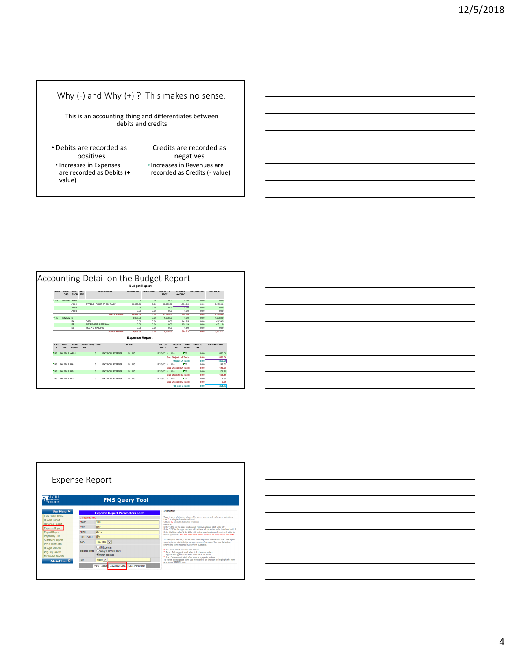### Why (-) and Why (+) ? This makes no sense.

This is an accounting thing and differentiates between debits and credits

- •Debits are recorded as positives • Increases in Expenses are recorded as Debits (+ value)
- Credits are recorded as negatives ◦Increases in Revenues are recorded as Credits (‐ value)







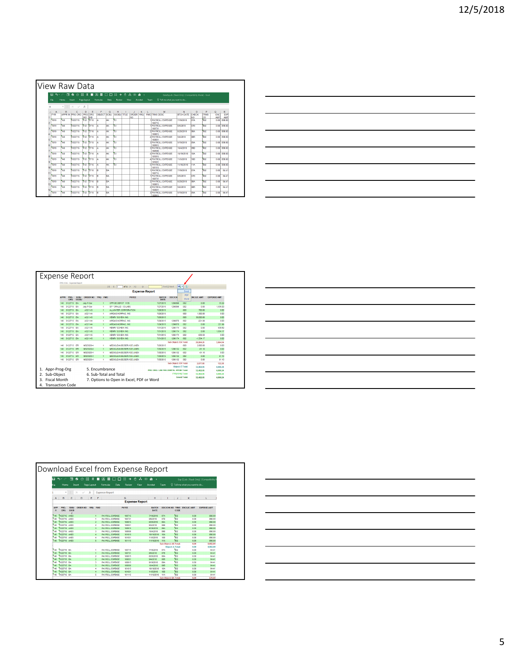|    |              |         | <b>View Raw Data</b>     |                       |            |             |           |                    |      |                               |                   |      |                                          |                                                      |                             |                       |                          |                |
|----|--------------|---------|--------------------------|-----------------------|------------|-------------|-----------|--------------------|------|-------------------------------|-------------------|------|------------------------------------------|------------------------------------------------------|-----------------------------|-----------------------|--------------------------|----------------|
|    | 日<br>$\cdot$ | 皿       | ۰<br>Ó                   | $\mathbf{m}$<br>$\pi$ | п          | 国<br>冊      | n         | 廿<br>$\rightarrow$ | n    | A.                            | $\infty$ di $\in$ |      |                                          | DataExports (Read-Only) (Compatibility Mode) - Excel |                             |                       |                          |                |
|    | Fie          | Home    | <b>Insert</b>            | Page Layout           |            | Formulas    | Data      | Review             | View |                               | Acrobat           | Team | Tell me what you want to do              |                                                      |                             |                       |                          |                |
| и  |              | $+$ $+$ | $\times$<br>$\checkmark$ | h                     |            |             |           |                    |      |                               |                   |      |                                          |                                                      |                             |                       |                          |                |
|    | A            | B       | c                        | n                     | F          | F           | G         | н                  |      | a.                            | к                 |      | м                                        | м                                                    | $\Omega$                    | P                     | $\Omega$                 | R              |
|    | <b>FYR</b>   |         | APPR IN PRG ORG          | PRG<br>IND            | ORG<br>IND | OR FCT SORI |           | SSOBJ TTLE         |      | <b>ORDER YRQ</b><br><b>NO</b> |                   |      | <b>EMO TRNS DESC</b>                     | <b>BTCH DATE</b>                                     | СНЕСК<br>NO                 | <b>TRNS</b><br>lcn    | <b>ENC</b><br><b>AMT</b> | EXP<br>AMT     |
|    | 1819         | 148     | 0122715                  | 012                   | 2715       | ĪĀ          | AK        | Tоз                |      |                               |                   |      | <b>1 PAYROLL EXPENSE</b><br>180715       | 7/19/2018                                            | 07A                         | Top?                  |                          | 0.00 898.00    |
|    | 1819         | 148     | 0122715                  | 012                   | 2715       | ×           | lаж       | îт                 |      |                               |                   |      | <b>1 PAYROLL EXPENSE</b><br>180731       | 8/6/2018                                             | n <sub>7</sub> <sub>R</sub> | m <sub>2</sub>        |                          | n onli assioni |
|    | 1819         | 148     | 0122715                  | 012                   | 2715       | A           | lмк       | ĨЮЗ                |      |                               |                   |      | 2 PAYROLL EXPENSE<br>180815              | 8/20/2018                                            | ORA                         | 002                   |                          | $0.00$ 898.00  |
| s  | 1819         | 148     | 0122715                  | 012                   | 2716       | lA.         | <b>AK</b> | m                  |      |                               |                   |      | 2 PAYROLL EXPENSE<br>180831              | 9/4/2018                                             | 08B                         | 202                   |                          | $0.00$ 898.00  |
|    | 1819         | 148     | 0122715                  | 012                   | 2715       | lA.         | AK        | 103                |      |                               |                   |      | <b>3 PAYROLL EXPENSE</b><br>180915       | 9/19/2018                                            | 09A                         | to <sub>2</sub>       |                          | $0.00$ 898.00  |
|    | 1819         | 148     | 0122715                  | 012                   | 2715       | ĪĀ          | AK        | Tоз                |      |                               |                   |      | <b>3 PAYROLL EXPENSE</b><br>180930       | 10/4/2018                                            | 09B                         | 502                   |                          | 0.00 898.00    |
| R  | 1819         | 148     | 0122715                  | 012                   | 2715       | A           | АK        | Ťоз                |      |                               |                   |      | <b>4 PAYROLL EXPENSE</b><br>181015       | 10/19/2018                                           | 104                         | to 2                  |                          | 0.00 898.00    |
| ó  | 1819         | 148     | 0122715                  | 012                   | 2715       | A           | <b>AK</b> | m                  |      |                               |                   |      | 4 PAYROLL EXPENSE<br>181031              | 11/5/2018                                            | 10R                         | 002                   |                          | 0.00 898.00    |
|    | 1819         | 148     | 0122715                  | 012                   | 2715       | A           | <b>AK</b> | ĨОЗ                |      |                               |                   |      | <b>KIPAYROLL EXPENSE</b><br>181115       | 11/16/2018                                           | <b>11A</b>                  | 1002                  |                          | $0.00$ 898.00  |
|    | 1819         | 148     | 0122715                  | 012                   | 2716       | ĪR          | RA        |                    |      |                               |                   |      | <b>1 PAYROLL EXPENSE</b><br>180715       | 7/19/2018                                            | 07A                         | <b>CO<sub>2</sub></b> | 0.001                    | 64.41          |
| 12 | 1819         | 148     | 0122715                  | 012                   | 2715       | ĪB          | <b>BA</b> |                    |      |                               |                   |      | <b>1 PAYROLL EXPENSE</b><br>180731       | 8/6/2018                                             | 07B                         | <b>Fanz</b>           | 0.001                    | 64.41          |
| 13 | 1819         | 148     | 0122715                  | 012                   | 2715       | ĪB          | BA.       |                    |      |                               |                   |      | <b>2 PAYROLL EXPENSE</b><br>180815       | 8/20/2018                                            | 08A                         | TCO <sub>2</sub>      | 0.001                    | 64.41          |
|    | 1819         | 148     | 0122715                  | 012                   | 2715       | l B         | BA.       |                    |      |                               |                   |      | <b>2 PAYROLL EXPENSE</b><br>180831       | 9/4/2018                                             | 08B                         | 502                   | 0.00                     | 64.41          |
|    | 1819         | 148     | 0122715                  | 012                   | 2715       | B           | <b>BA</b> |                    |      |                               |                   |      | <b><i>REAVENUE EXPENSE</i></b><br>180915 | 9/19/2018                                            | 094                         | 002                   | 0.00                     | 64.41          |

|  |  | <u> 1989 - Andrea Andrew Maria (h. 1989).</u>                                                                       |
|--|--|---------------------------------------------------------------------------------------------------------------------|
|  |  |                                                                                                                     |
|  |  | and the contract of the contract of the contract of the contract of the contract of the contract of the contract of |
|  |  | and the control of the control of                                                                                   |
|  |  |                                                                                                                     |
|  |  | _________                                                                                                           |
|  |  |                                                                                                                     |

|                     | FYR:1516 - Expense Report |                             |                 |            |            |                                                               |                      |                                      |                     |                  |                    |
|---------------------|---------------------------|-----------------------------|-----------------|------------|------------|---------------------------------------------------------------|----------------------|--------------------------------------|---------------------|------------------|--------------------|
|                     |                           |                             |                 |            |            | 1441<br>of $1 \quad \triangleright \quad \triangleright \mid$ |                      | ц.<br>Find   Next                    | ۵                   |                  |                    |
|                     |                           |                             |                 |            |            | <b>Expense Report</b>                                         |                      |                                      | Excel               |                  |                    |
|                     |                           |                             |                 |            |            |                                                               |                      |                                      | PDF                 |                  |                    |
| <b>APPR</b>         | PRG-<br><b>ORG</b>        | <b>SOBJ</b><br><b>SSORJ</b> | <b>ORDER NO</b> | <b>YRQ</b> | <b>EMO</b> | <b>PAYEE</b>                                                  | <b>BATCH</b><br>DATE | <b>DOC/CH</b>                        | Word                | <b>NCLIC AMT</b> | <b>EXPENSE AMT</b> |
|                     | 148 0122715               | EA                          | July P-Car      |            |            | OFFICE DEPOT 1135                                             | 7/27/2015            | 1296096                              | 002                 | 0.00             | 33.29              |
| 148                 | 0122715                   | EA                          | July P-Car      |            |            | SP * ORALID - ID LABS                                         | 7/27/2015            | 1296096                              | om:                 | 0.00             | 1,535.00           |
| 148                 | 0122715                   | EA                          | A321143         |            | ×          | ALLWATER CORPORATION                                          | 7/28/2015            |                                      | 600                 | 700.00           | 0.00               |
| 148                 | 0122715 EA                |                             | A321144         |            | ٠          | AIRGAS-NORPAC, INC.                                           | 7/28/2015            |                                      | 600                 | 1,500.00         | 0.00               |
| 148                 | 0122715 EA                |                             | A321145         |            | ×          | HENRY SCHEIN INC.                                             | 7/28/2015            |                                      | 600                 | 30,000.00        | 0.00               |
| 148                 | 0122715 EA                |                             | A321144         |            | ٠          | AIRGAS-NORPAC, INC.                                           | 7/29/2015            | 1296070                              | em                  | $-221.99$        | 0.00               |
| 148                 | 0122715 EA                |                             | A321144         |            | ٠          | AIRGAS-NORPAC, INC.                                           | 7/29/2015            | 1296070                              | 002                 | 0.00             | 221.99             |
| 145                 | 0122715 EA                |                             | A321145         |            | ٠          | HENRY SCHEIN INC.                                             | 7/31/2015            | 1296174                              | 002                 | 0.00             | 639.59             |
| 148                 | 0122715 EA                |                             | A321145         |            | ٠          | HENRY SCHEIN INC.                                             | 7/31/2015            | 1296174                              | 002                 | n <sub>m</sub>   | 1.534.17           |
| 148                 | 0122715 EA                |                             | A321145         |            |            | HENRY SCHEIN INC.                                             | 7/31/2015            | 1296174                              | em                  | 439.59           | 0.00               |
| 148                 | 0122715 EA                |                             | A321145         |            |            | HENRY SCHEIN INC.                                             | 7/31/2015            | 1296174                              | <b>ATD</b>          | -1,534.17        | 0.00               |
|                     |                           |                             |                 |            |            |                                                               |                      | <b>Sub Object: EA Total:</b>         |                     | 29,804.25        | 3,964.04           |
| 148                 | 0122715                   | FR                          | M323320-4       |            |            | MEDICLEANSE/SERVICE LINEN                                     | 7/28/2015            |                                      | 600                 | 2,800.00         | 0.00               |
| 148                 | 0122715                   | ER                          | M323320-4       |            | ×          | MEDICI FANSE/SERVICE LINEN                                    | 7/30/2015            | 1296132                              | 602                 | $-61.10$         | 0.00               |
| 145                 | 0122715 FR                |                             | M323320.4       |            | ×          | MEDICI FANSE/SERVICE LINEN                                    | 7/30/2015            | 1296132                              | 602                 | <b>J61 10</b>    | 0.00               |
| 148                 | 0122715 ER                |                             | M323320-4       |            |            | MEDICLEANSE/SERVICE LINEN                                     | 7/30/2015            | 1296132                              | 002                 | 0.00             | 61.10              |
| 148                 | 0122715 ER                |                             | M323320-4       |            | ٠          | MEDICLEANSE/SERVICE LINEN                                     | 7/30/2015            | 1296132                              | nm                  | o on             | 61.10              |
|                     |                           |                             |                 |            |            |                                                               |                      | <b>Sub Object: ER Total:</b>         |                     | 2,677.80         | 122.20             |
|                     |                           |                             |                 |            |            |                                                               |                      | <b>Object: E Total:</b>              |                     | 32,482.05        | 4,086.24           |
| 1. Appr-Prog-Org    |                           |                             | 5. Encumbrance  |            |            |                                                               |                      | PRG ORG: LAR FEE DENTAL HYGIE Totals |                     | 32,482.05        | 4.086.24           |
| Sub-Object          |                           |                             |                 |            |            | 6. Sub-Total and Total                                        |                      | FYR/1516) Total:                     |                     | 32,482.05        | 4,086.24           |
| <b>Fiscal Month</b> |                           |                             |                 |            |            | 7. Options to Open in Excel, PDF or Word                      |                      |                                      | <b>Grand Total:</b> | 32,482.05        | 4,086.24           |

| <u> Alexandro de la contrada de la contrada de la contrada de la contrada de la contrada de la contrada de la con</u> |  |  |  |          |
|-----------------------------------------------------------------------------------------------------------------------|--|--|--|----------|
|                                                                                                                       |  |  |  |          |
| <u> Album a componente de la componenta de la componenta de la componenta de la componenta de la componenta de la</u> |  |  |  |          |
|                                                                                                                       |  |  |  | ________ |
|                                                                                                                       |  |  |  |          |
|                                                                                                                       |  |  |  |          |
|                                                                                                                       |  |  |  |          |
|                                                                                                                       |  |  |  |          |

| File     | Home         |                            |               |             |                         | 国<br>₩                                           | 廿<br>A<br>п<br>$\rightarrow$ | みの山。                 |            |                              |                               | Exp (1) als [Read-Only] [Compatibility |
|----------|--------------|----------------------------|---------------|-------------|-------------------------|--------------------------------------------------|------------------------------|----------------------|------------|------------------------------|-------------------------------|----------------------------------------|
|          |              |                            | <b>Insert</b> | Page Layout |                         | Formulas<br>Data                                 | Review                       | View<br>Acrobat      | Team       |                              | Q Tell me what you want to do |                                        |
|          |              |                            |               |             |                         |                                                  |                              |                      |            |                              |                               |                                        |
|          | ٠            |                            | $\times$      | £,          |                         | <b>Expense Report</b>                            |                              |                      |            |                              |                               |                                        |
| А        | B            | c                          | D             | Ε           | F                       |                                                  | G                            | н                    |            | a                            | ĸ                             |                                        |
|          |              |                            |               |             |                         |                                                  | <b>Expense Report</b>        |                      |            |                              |                               |                                        |
|          |              |                            |               |             |                         |                                                  |                              |                      |            |                              |                               |                                        |
| APP<br>R | PRG.<br>ORG  | <b>SO/N</b><br>\$\$08<br>и | ORDER NO.     | YRO         | <b>TMO</b>              |                                                  | PAYEE                        | <b>ПАТСИ</b><br>DATE | DOC/CHK NO | <b>TRNS</b><br>cope          | <b>FROLIC AMT</b>             | <b>EXPENSE AMT</b>                     |
| 148      | 0122715 AK03 |                            |               |             |                         | <b>PAYROLL EXPENSE</b>                           | 180715                       | 7/19/2018            | 074        | 002                          | 0.00                          | 898.00                                 |
| 148      | 0122715 AK03 |                            |               |             |                         | <b>PAYROLL EXPENSE</b>                           | 180731                       | 88/2018              | OTR        | <b>Tino</b>                  | 0.00                          | <b>RRA CO</b>                          |
| 148      | 0122715 AK03 |                            |               |             | $\overline{z}$          | <b>PAYROLL EXPENSE</b>                           | 180815                       | <b>R/20/2018</b>     | <b>GRA</b> | 500                          | 0.00                          | 898.00                                 |
| 16K      | 0122715 AK03 |                            |               |             | $\overline{z}$          | <b>PAYROLL EXPENSE</b>                           | 180831                       | 9/4/2018             | orm        | <b>Theo</b>                  | 0.00                          | 898.00                                 |
| 148      | 0122715 AK03 |                            |               |             | $\mathbf{a}$            | <b>PAYROLL EXPENSE</b>                           | 180915                       | 9/19/2018            | 094        | 000                          | 0.00                          | 898.00                                 |
| 148      | 0122715 AK03 |                            |               |             | 5                       | <b>PAYROLL EXPENSE</b>                           | 180930                       | 10/4/2018            | 098        | 300                          | 0.00                          | 898.00                                 |
| 148      | 0122715 AK03 |                            |               |             | $\ddot{\phantom{a}}$    | <b>PAYROLL EXPENSE</b>                           | 181015                       | 10/19/2018           | 104        | 002                          | 0.00                          | 898.00                                 |
| 148      | 0122715 AK03 |                            |               |             | z                       | <b>PAYROLL EXPENSE</b>                           | 181031                       | 11/5/2018            | 108        | 802                          | 0.00                          | 898.00                                 |
| 148      | 0122715 AK03 |                            |               |             | $\mathbf{r}$            | <b>PAYROLL EXPENSE</b>                           | 181115                       | 11/16/2018           | <b>11A</b> | hm                           | 0.00                          | 898.00                                 |
|          |              |                            |               |             |                         |                                                  |                              |                      |            | <b>Sub Object: AK Total:</b> | 0.00                          | 8,082.00                               |
| 148      | 0122715 BA   |                            |               |             |                         |                                                  | 180715                       | 7/19/2018            | 074        | Object: A Total:<br>hto      | 0.00                          | 8,082.00                               |
| 148      | 0122715 RA   |                            |               |             | ٠<br>$\overline{1}$     | <b>PAYROLL EXPENSE</b><br><b>PAYROLL EXPENSE</b> | 180731                       | 8/6/2018             | 078        | 802                          | 0.00<br>0.00                  | 64.41<br>64.41                         |
| 148      | 0122715 BA   |                            |               |             | $\overline{\mathbf{z}}$ | <b>PAYROLL EXPENSE</b>                           | 180815                       | 8/20/2018            | <b>GRA</b> | 002                          | 0.00                          | 64.41                                  |
| 148      | 0122715 RA   |                            |               |             | $\overline{2}$          | <b>PAYROLL EXPENSE</b>                           | 180831                       | 9/4/2018             | ORR        | Tino.                        | 0.00                          | 64.41                                  |
| îш       | 0122715 RA   |                            |               |             | $\overline{\mathbf{a}}$ | <b>PAYROLL EXPENSE</b>                           | 180915                       | <b>9/19/2018</b>     | 094        | hto                          | 0.00                          | 64.41                                  |
| 14A      | 0122715 8A   |                            |               |             | $\lambda$               | <b>PAYROLL EXPENSE</b>                           | 180930                       | 10/4/2018            | nem        | Theo.                        | 0.00                          | 64.41                                  |
| 148      | 0122715 RA   |                            |               |             | ٠                       | <b>PAYROLL EXPENSE</b>                           | 181015                       | 10/19/2018           | 104        | 500                          | 0.00                          | 64.41                                  |
| 148      | 0122715 BA   |                            |               |             | z                       | PAYROLL EXPENSE                                  | 181031                       | 11/5/2018            | 108        | 800                          | 0.00                          | 64.41                                  |
| 148      | 0122715 BA   |                            |               |             | 5                       | <b>PAYROLL EXPENSE</b>                           | 181115                       | 11/16/2018           | <b>11A</b> | 002                          | 0.00                          | 64.41                                  |

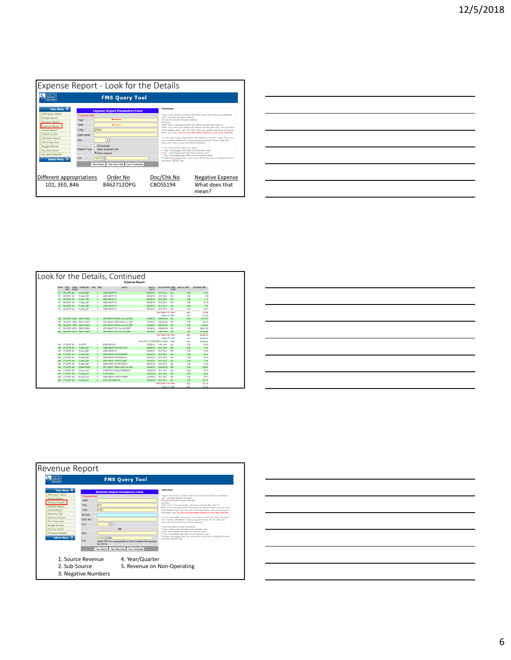

| <u> 1989 - Andrea Andrew Maria (h. 1989).</u> |  |                                     |
|-----------------------------------------------|--|-------------------------------------|
|                                               |  |                                     |
| ______                                        |  | the contract of the contract of the |
|                                               |  |                                     |
|                                               |  |                                     |
|                                               |  |                                     |
|                                               |  |                                     |
|                                               |  |                                     |
|                                               |  |                                     |
|                                               |  |                                     |
|                                               |  |                                     |
|                                               |  |                                     |
|                                               |  |                                     |

| Look for the Details, Continued |             |                          |                          |                          |                                         |                       |                        |                              |            |                    |                    |
|---------------------------------|-------------|--------------------------|--------------------------|--------------------------|-----------------------------------------|-----------------------|------------------------|------------------------------|------------|--------------------|--------------------|
|                                 |             |                          |                          |                          |                                         | <b>Expense Report</b> |                        |                              |            |                    |                    |
|                                 | <b>APPR</b> | SORT<br>PRG.             | ORDER NO.                | <b>YRQ</b><br><b>FMO</b> |                                         | PAYEE                 | <b>RATCH</b>           | <b>DOCICHK NO TRNS</b>       |            | <b>ENCILIC AMT</b> | <b>EXPENSE ANT</b> |
|                                 |             | <b>SSONI</b><br>ORG      |                          |                          |                                         |                       | <b>DATE</b>            |                              | cope       |                    |                    |
|                                 | 101         | 06120PG EA               | P-Card SEP               | A                        | AMZN MKTP US                            |                       | 9/25/2018              | 2813 2814<br>2813 2814       | 503        | 0.00               | 47.64              |
|                                 | 101         | 06120PG EA<br>06120PG EA | P-Card SEP<br>P-Card SEP | а                        | AMZN MICTP LIS<br><b>AMZN MACTP LIS</b> |                       | 9/25/2018<br>9/25/2018 | 2813 2814                    | 503<br>603 | 0.00<br>0.00       | 1.66<br>3.13       |
|                                 | 101<br>101  | 06120PG EA               | P-Card SEP               | $\overline{3}$<br>з      | AMZN MKTP US                            |                       | 9/25/2018              | 2813 2814                    | 503        | 0.00               | 27.18              |
|                                 | 101         | 06120PG FA               | P-Card SEP               |                          | AMZN MCTP LIS                           |                       | 9/25/2018              | 2813.2814                    | 503        | 0.00               | 7.95               |
|                                 | 101         | 06120PG EA               | P-Card SEP               | $\overline{3}$<br>я      | <b>AMZN MKTP US</b>                     |                       | 9/25/2018              | 2813 2814                    | <b>SO3</b> | 0.00               | 29.70              |
|                                 |             |                          |                          |                          |                                         |                       |                        | Sub Object: EA Total:        |            | 0.00               | 117.26             |
|                                 |             |                          |                          |                          |                                         |                       |                        | Object: E Total:             |            | 0.00               | 117.26             |
|                                 | aro         |                          | 06120PG NZBK 84627120PG  | $\overline{4}$           | OPP GRANT BOOKS JUL AUG SEP             |                       | 10/8/2018              | CBOSS194                     | 503        | 0.00               | 9,715.79           |
|                                 | 380         |                          | 06120PG NZEA 64627120PG  | 4                        | OPP GRANT CRED CARD JUL SEP             |                       | 10/02015               | CBOS5194                     | 503        | 000                | 263.30             |
|                                 | 3FO         |                          | 06120PG NZTR AM27120PG   | $\overline{a}$           | OPP GRANT TRANS JUL AUG SEP             |                       | 10/9/2018              | CBOSS194                     | 503        | 0.00               | 3.530.42           |
|                                 | 101         |                          | 06120PG NZTU 84627120PG  | a                        | OPP GRANT TUIT JUL AUG SEP              |                       | 10/8/2018              | CBOSS194                     | <b>SO3</b> | 0.00               | 29.411.00          |
|                                 | 350         |                          | 06120PG NZTU 84627120PG  | $\overline{4}$           | OPP GRANT TUIT JUL AUG SEP              |                       | 10/8/2018              | CBOSS194                     | 503        | 0.00               | 23.128.65          |
|                                 |             |                          |                          |                          |                                         |                       |                        | <b>Sub Object: NZ Total:</b> |            | 0.00               | 66,049.16          |
|                                 |             |                          |                          |                          |                                         |                       |                        | Object: N Total:             |            | 0.00               | 66,049.16          |
|                                 |             |                          |                          |                          |                                         |                       |                        | PRG ORG: OPPORTUNITY GRANT   | Total:     | 0.00               | 66.166.42          |
|                                 | <b>RAFI</b> | 27120PG FA               | 49180731                 | ٠                        | FLSEVIER INC.                           |                       | 7/25/2018              | 14531454                     | 002        | 0.00               | 115.61             |
|                                 | <b>RAR</b>  | 27120PG EA               | P-Card SEP               | 3                        | AMZN MCTP LISPATE 211410                |                       | 9/25/2018              | 2813 2814                    | 002        | 0.00               | 71.93              |
|                                 | 846         | 27120PG EA               | P-Card SEP               | з                        | AMZN MKTP US                            |                       | 9/25/2018              | 2813 2814                    | 002        | 0.00               | 37.36              |
|                                 | <b>RAR</b>  | 2712OPG EA               | P-Card SEP               | A                        | AMZN MKTP LIS/MTSR09401                 |                       | 9/25/2018              | 2813 2814                    | 002        | 0.00               | 48.11              |
|                                 | 848         | 27120PG EA               | P-Card SEP               | з                        | AMZN MKTP US/MT2229L22                  |                       | 9/25/2018              | 2813 2814                    | 002        | 0.00               | 57.43              |
|                                 | 846         | 27120PG EA               | P-Card SEP               | а                        | AMZN MKTP US/MT2Y34401                  |                       | 9/25/2018              | 2813 2814                    | 002        | 0.00               | 17.47              |
|                                 | <b>RAFI</b> | 27120PG EA               | P-Card SEP               | a                        | AMZN MKTP LIS/MTA1R9OS1                 |                       | 9/25/2018              | 2813 2814                    | 002        | nm                 | 31.00              |
|                                 | 846         | 2712OPG EA               | 3E00612OPG               | $\overline{4}$           | OPP GRANT CRED CARD JUL-SEP             |                       | 10/8/2018              | CBOSS194                     | 002        | 0.00               | $-378.91$          |
|                                 | <b>RAFI</b> | 27120PG FA               | P-Card OCT               | a                        | SJSPATTI FJOCJRKSTORP#2330              |                       | 10/25/2018             | 3911.3912                    | m          | nm                 | 54.11              |
|                                 | 846         | 27120PG EA               | P-Card OCT               | $\overline{4}$           | <b>FLATWORLD</b>                        |                       | 10/25/2018             | 3911 3912                    | 002        | 0.00               | 96.90              |
|                                 | 848         | 27120PG EA               | P-Card OCT               | A                        | AMZN MKTP US/MT7VOOMR1                  |                       | 10/25/2018             | 3911 3912                    | 002        | 0.00               | 30.77              |
|                                 | 545         | 27120PG EA               | P-Card_OCT               | ×                        | LIFE UNIFORM 0164                       |                       | 10/25/2015             | 3911.3912                    | 002        | 0.00               | 251.46             |
|                                 |             |                          |                          |                          |                                         |                       |                        | Sub Object: EA Total:        |            | 0.00               | 433.26             |
|                                 |             |                          |                          |                          |                                         |                       |                        |                              |            |                    |                    |





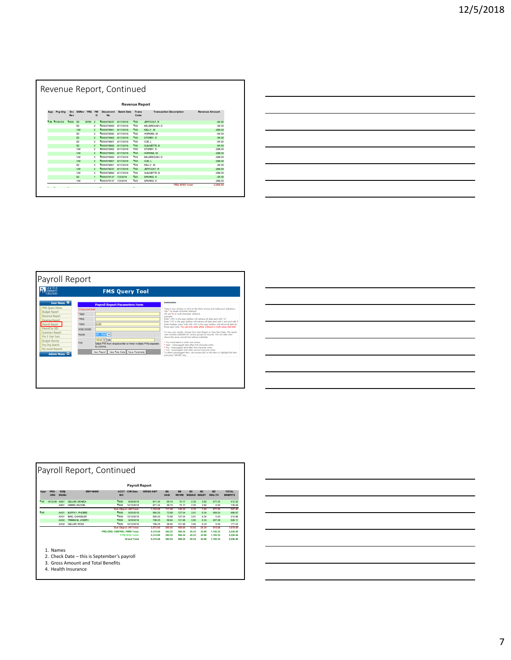| Revenue Report, Continued |             |             |                |                   |                       |                       |                   |               |                                |                       |
|---------------------------|-------------|-------------|----------------|-------------------|-----------------------|-----------------------|-------------------|---------------|--------------------------------|-----------------------|
| <b>Revenue Report</b>     |             |             |                |                   |                       |                       |                   |               |                                |                       |
| App                       | Prg-Org     | Src.<br>Rev | SSRev YRQ      |                   | <b>FM</b><br>$\Omega$ | Document<br><b>No</b> | <b>Batch Date</b> | Trans<br>Code | <b>Transaction Description</b> | <b>Revenue Amount</b> |
|                           | 148 0125103 | 0430 F2     |                | R785 <sub>2</sub> |                       | 0000478237            | <b>8/17/2018</b>  | 193           | JEFFCOAT. R                    | $-94.00$              |
|                           |             |             | F <sub>2</sub> |                   | $\overline{a}$        | 1000279083            | <b>8/17/2018</b>  | Pig3          | MALBROUGH, D                   | $-94.00$              |
|                           |             |             | <b>VM</b>      |                   | $\mathfrak{p}$        | 0000578951            | 8/17/2018         | 193           | KELLY, M                       | $-28800$              |
|                           |             |             | F <sub>2</sub> |                   | $\mathfrak{p}$        | 0000279093            | <b>8/17/2018</b>  | <b>Flas</b>   | HOPKINS, M                     | $-94.00$              |
|                           |             |             | F2             |                   | $\mathfrak{p}$        | 0000279062            | 8/17/2018         | 193           | STOREY. E                      | $-94.00$              |
|                           |             |             | F <sub>2</sub> |                   | $\overline{a}$        | 1000678907            | <b>8/17/2018</b>  | <b>MA3</b>    | COE L                          | $-94.00$              |
|                           |             |             | F2             |                   | $\mathfrak{p}$        | 0000578892            | <b>8/17/2018</b>  | 193           | <b>GUILMETTE B</b>             | $-94.00$              |
|                           |             |             | <b>VM</b>      |                   | $\overline{a}$        | 1000279062            | 8/17/2018         | <b>Pig3</b>   | STOREY. E                      | $-28800$              |
|                           |             |             | <b>VM</b>      |                   | $\mathfrak{p}$        | 0000279093            | 8/17/2018         | 193           | HOPKINS, M                     | $-28800$              |
|                           |             |             | VM             |                   | $\mathfrak{p}$        | 0000279083            | <b>8/17/2018</b>  | 193           | MALBROUGH, D                   | $-28800$              |
|                           |             |             | <b>VM</b>      |                   | $\mathfrak{p}$        | 0000578907            | 8/17/2018         | 193           | COE L                          | $-28800$              |
|                           |             |             | F <sub>2</sub> |                   | $\mathfrak{p}$        | 0000578951            | 8/17/2018         | 193           | KELLY, M                       | $-94.00$              |
|                           |             |             | <b>VM</b>      |                   | $\mathfrak{p}$        | 0000478237            | <b>8/17/2018</b>  | 193           | JEFFCOAT. R                    | $-288.00$             |
|                           |             |             | <b>VM</b>      |                   | $\overline{a}$        | 1000678892            | <b>8/17/2018</b>  | <b>Pig3</b>   | <b>GUILMETTE B</b>             | $-28800$              |
|                           |             |             | F <sub>2</sub> |                   | $\mathbf{1}$          | 0000379137            | 7/2/2018          | TO3           | SPARKS, K                      | $-94.00$              |
|                           |             |             | VM             |                   | ٠                     | 0000379137            | 7/2/2018          | hos.          | SPARKS, K                      | $-28800$              |
|                           |             |             |                |                   |                       |                       |                   |               | YRQ: B785 Total:               | $-3.056.00$           |

| <u> 1989 - Andrea Santa Andrea Andrea Andrea Andrea Andrea Andrea Andrea Andrea Andrea Andrea Andrea Andrea Andr</u> |  |  |  |
|----------------------------------------------------------------------------------------------------------------------|--|--|--|
|                                                                                                                      |  |  |  |
|                                                                                                                      |  |  |  |
|                                                                                                                      |  |  |  |
|                                                                                                                      |  |  |  |



| $\sim$ $\sim$                                                                                                                                            |                                   |
|----------------------------------------------------------------------------------------------------------------------------------------------------------|-----------------------------------|
|                                                                                                                                                          | the control of the control of the |
|                                                                                                                                                          |                                   |
|                                                                                                                                                          |                                   |
|                                                                                                                                                          |                                   |
|                                                                                                                                                          |                                   |
| and the contract of the contract of the contract of the contract of the contract of the contract of the contract of<br>and the control of the control of |                                   |
|                                                                                                                                                          |                                   |

| <b>Payroll Report</b>                                                                                                                                                                          |              |                      |                       |                              |                       |                      |                          |                            |                                         |                |                            |                                 |
|------------------------------------------------------------------------------------------------------------------------------------------------------------------------------------------------|--------------|----------------------|-----------------------|------------------------------|-----------------------|----------------------|--------------------------|----------------------------|-----------------------------------------|----------------|----------------------------|---------------------------------|
| Appr                                                                                                                                                                                           | PRG-<br>ORG  | SOBi<br><b>SSOBJ</b> | <b>EMP NAME</b>       | <b>ACCT</b><br>MO            | <b>CHK Date</b>       | <b>GROSS AMT</b>     | <b>RA</b><br><b>OASI</b> | <b>RR</b><br><b>RETIRE</b> | RC <sub>3</sub><br><b>MEDAID INDUST</b> | RC.            | <b>RD</b><br><b>HFAITH</b> | <b>TOTAL</b><br><b>RENEFITS</b> |
| 145                                                                                                                                                                                            | 1612L99 AB01 |                      | <b>GELLER MONICA</b>  | <b>FIROR</b>                 | 9/25/2018             | 871.34               | <b>58.74</b>             | 70.17                      | 2.35                                    | 3.82           | 277.24                     | 412.32                          |
|                                                                                                                                                                                                |              | <b>AB01</b>          | <b>GREEN RACHEL</b>   | Rang                         | 10/10/2018            | 871.34               | <b>68.74</b>             | 70.17                      | 2.35                                    | 3.82           | 0.00                       | 135.08                          |
|                                                                                                                                                                                                |              |                      |                       |                              | Sub Object: AB Total: | 1.742.68             | 117,48                   | 140.34                     | 4.70                                    | 7.64           | 277.24                     | 547.40                          |
| 145                                                                                                                                                                                            |              | <b>AK01</b>          | <b>BUFFAY, PHOEBE</b> | <b>HAO9</b>                  | 9/25/2018             | 990.25               | 73.68                    | 127.04                     | 3.91                                    | 6.34           | 458.00                     | <b>668.97</b>                   |
|                                                                                                                                                                                                |              | AK01                 | BING, CHANDLER        | Rang                         | 10/10/2018            | 990.25               | 73.69                    | 127.04                     | 3.91                                    | 6.34           | 0.00                       | 210.98                          |
|                                                                                                                                                                                                |              | AK02                 | TRIBBIAN, JOSEPH      | <b>BAGG</b>                  | 9/25/2018             | 796.25               | <b>58.84</b>             | 101.96                     | 3.90                                    | 6.33           | 457.08                     | 628.11                          |
|                                                                                                                                                                                                |              | <b>AK02</b>          | <b>GELLER ROSS</b>    | 1809                         | 10/10/2018            | 796.25               | <b>58.84</b>             | 101.96                     | 3.90                                    | 6.33           | 0.00                       | 171.03                          |
|                                                                                                                                                                                                |              |                      |                       | PRG-ORG: CENTRAL PERK Total: | Sub Object: AK Total: | 3,573,00             | 265.05<br>382.53         | 458.00<br><b>598.34</b>    | 15.62<br>20.32                          | 25.34<br>32.98 | 915.08                     | 1,679.09                        |
|                                                                                                                                                                                                |              |                      |                       |                              | FYR(1819) Total:      | 5.315.68<br>5.315.68 | 382.53                   | 598.34                     | 20.32                                   | 32.98          | 1.192.32<br>1.192.32       | 2.226.49<br>2.226.49            |
|                                                                                                                                                                                                |              |                      |                       |                              | <b>Grand Total</b>    |                      |                          |                            |                                         |                |                            |                                 |
| 598.34<br>20.32<br>2.226.49<br>5.315.68<br>382.53<br>32.98<br>1.192.32<br>1. Names<br>2. Check Date - this is September's payroll<br>3. Gross Amount and Total Benefits<br>4. Health Insurance |              |                      |                       |                              |                       |                      |                          |                            |                                         |                |                            |                                 |

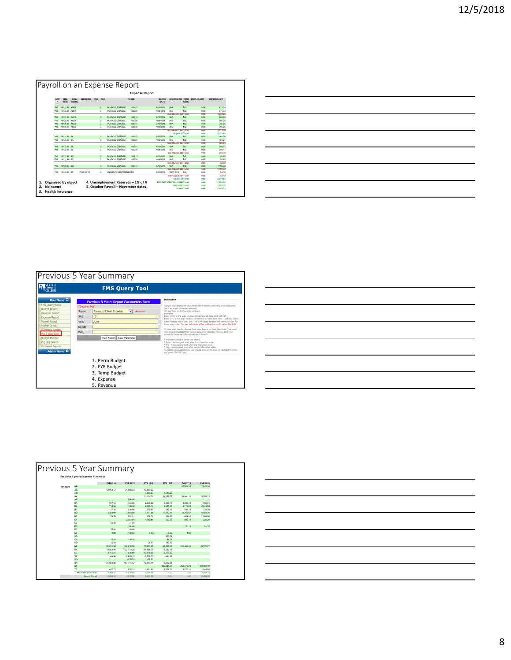|          |                          |               |           |         |                       |                                           | <b>Expense Report</b> |                        |                              |                                     |                             |                    |
|----------|--------------------------|---------------|-----------|---------|-----------------------|-------------------------------------------|-----------------------|------------------------|------------------------------|-------------------------------------|-----------------------------|--------------------|
| APP<br>R | PRG-<br>ORG              | SOBJ<br>SSOBJ | ORDER NO  | YRQ FMO |                       |                                           | PAYEE                 | <b>BATCH</b><br>DATE   |                              | CODE                                | DOC/CHK NO TRNS ENCILIC AMT | <b>EXPENSE AMT</b> |
| 145      | 1612L99 AB01             |               |           |         | $\overline{3}$        | <b>PAYROLL EXPRASE</b>                    | 180915                | 9/19/2018              | <b>COA</b>                   | <b>boz</b>                          | 0.00                        | 871.34             |
| 145      | 1612L99 AB01             |               |           |         | 3                     | PAYROLL EXPENSE                           | 180930                | 10/4/2018              | COR                          | <b>Reco</b>                         | 0.00                        | 871.34             |
|          |                          |               |           |         |                       |                                           |                       |                        | Sub Object: AB Total:        |                                     | 0.00                        | 1,742.68           |
| 545      | 1612L99 AK01             |               |           |         | 3                     | PAYROLL EXPENSE                           | 180915                | 9/19/2018              | 09A                          | Top2                                | 0.00                        | 990.25             |
| 145      | 1612199 AK01             |               |           |         | $\mathbf{\mathbf{a}}$ | <b>PAYROLL EXPRASE</b>                    | 180930                | 1006/2018              | COR                          | Pano                                | 0.00                        | 990.25             |
| 945      | 1612199 AK02             |               |           |         | $\overline{3}$        | PAYROLL EXPENSE                           | 180915                | 9/19/2018              | <b>COA</b>                   | <b>Prop</b>                         | 0.00                        | 796.25             |
| 145      | 1612L99 AK02             |               |           |         | 3                     | PAYROLL EXPENSE                           | 180930                | 10/4/2018              | COR                          | <b>Boo</b>                          | 0.00                        | 796.25             |
|          |                          |               |           |         |                       |                                           |                       |                        | Sub Object: AK Total:        |                                     | 0.00                        | 3.573.00           |
|          |                          |               |           |         |                       |                                           |                       |                        |                              | Object: A Total:                    | 0.00                        | 5,315.68           |
| 145      | 1612L99 BA               |               |           |         | $\overline{3}$        | PAYROLL EXPENSE                           | 180915                | 9/19/2018              | 09A                          | 602                                 | 0.00                        | 191.26             |
| 945      | 1612199 RA               |               |           |         | $\mathbf{\mathbf{a}}$ | PAYROLL EXPENSE                           | 180930                | 10/4/2018              | COR                          | <b>B</b> no                         | 0.00                        | 191.27             |
|          |                          |               |           |         |                       |                                           |                       |                        | <b>Sub Object: BA Total:</b> |                                     | 0.00                        | 382.53             |
| 145      | 1612L99 BB               |               |           |         | $\overline{3}$        | <b>PAYROLL EXPRASE</b>                    | 180915                | 9/19/2018              | <b>ORA</b>                   | <b>Ting</b><br><b>Bro</b>           | 0.00                        | 299.17             |
| 945      | 1612L99 BB               |               |           |         | 3                     | PAYROLL EXPENSE                           | 180930                | 10/4/2018              | 09B                          |                                     | 0.00                        | 299.17             |
| 145      |                          |               |           |         |                       |                                           |                       |                        | <b>ORA</b>                   | Sub Object: BB Total:<br><b>boz</b> | 0.00                        | 598.34             |
| 145      | 1612L99 BC<br>1612L99 BC |               |           |         | 3<br>3                | PAYROLL EXPENSE<br><b>PAYROLL EXPENSE</b> | 180915<br>180930      | 9/19/2018<br>10/4/2018 | COR                          | <b>Base</b>                         | 0.00<br>0.00                | 26.65<br>26.65     |
|          |                          |               |           |         |                       |                                           |                       |                        |                              | Sub Object: BC Total:               | 0.00                        | 63.30              |
| 945      | 1612L99 BD               |               |           |         | 3                     | <b>PAYROLL EXPRASE</b>                    | 180915                | 9/19/2018              | <b>ORA</b>                   | <b>Prop</b>                         | 0.00                        | 1.192.32           |
|          |                          |               |           |         |                       |                                           |                       |                        |                              | Sub Object: BD Total:               | 0.00                        | 1.192.32           |
| 145      | 1612L99 BF               |               | FY2018-19 |         | $\mathcal{R}$         | UNEMPLOYMENT RESERVES                     |                       | 9/30/2018              | SEPT 2018                    | <b>Fino</b>                         | 0.00                        | 53.15              |
|          |                          |               |           |         |                       |                                           |                       |                        |                              | Sub Object: BF Total:               | 0.00                        | 53.15              |
|          |                          |               |           |         |                       |                                           |                       |                        |                              | Object: B Total:                    | 0.00                        | 2.279.64           |
|          | Organized by object      |               |           |         |                       | 4. Unemployment Reserves - 1% of A        |                       |                        | PRG ORG: CENTRAL PERK Total: |                                     | 0.00                        | 7.595.32           |
|          |                          |               |           |         |                       |                                           |                       |                        |                              | FYR(1819) Total:                    | 0.00                        | 7.595.32           |
| No names |                          |               |           |         |                       | 5. October Payroll - November dates       |                       |                        |                              | <b>Grand Total:</b>                 | 0.00                        | 7.595.32           |

| <u> Andreas Andreas Andreas Andreas Andreas Andreas Andreas Andreas Andreas Andreas Andreas Andreas Andreas Andreas Andreas Andreas Andreas Andreas Andreas Andreas Andreas Andreas Andreas Andreas Andreas Andreas Andreas Andr</u> |  |        |
|--------------------------------------------------------------------------------------------------------------------------------------------------------------------------------------------------------------------------------------|--|--------|
| <u>.</u><br>1980 - Paul Barbara, politikar eta biztanleria eta biztanleria eta biztanleria eta biztanleria eta biztanleria                                                                                                           |  |        |
|                                                                                                                                                                                                                                      |  |        |
| <u> 1989 - Johann John Stone, markin sanadi amerikan bahasa dalam pengaran sebagai pengaran sebagai pengaran seba</u>                                                                                                                |  | ______ |
|                                                                                                                                                                                                                                      |  |        |
|                                                                                                                                                                                                                                      |  |        |
| and the control of the control of the control of the control of the control of the control of the control of th                                                                                                                      |  |        |



| <u> 1989 - Andrea Andrew Maria (h. 1989).</u>                                                                         |  |  |
|-----------------------------------------------------------------------------------------------------------------------|--|--|
|                                                                                                                       |  |  |
|                                                                                                                       |  |  |
| and the control of the control of the control of the control of the control of the control of the control of the      |  |  |
| <u> 1989 - Johann Stoff, deutscher Stoff, der Stoff, der Stoff, der Stoff, der Stoff, der Stoff, der Stoff, der S</u> |  |  |
|                                                                                                                       |  |  |
|                                                                                                                       |  |  |
|                                                                                                                       |  |  |
|                                                                                                                       |  |  |

| Previous 5 Year Summary |                                  |               |               |              |               |               |              |  |  |  |  |  |
|-------------------------|----------------------------------|---------------|---------------|--------------|---------------|---------------|--------------|--|--|--|--|--|
|                         | Previous 5 years Expense Summary |               |               |              |               |               |              |  |  |  |  |  |
|                         |                                  | FYR 1314      | FYR 1415      | FYR 1516     | FYR 1617      | FYR 1718      | FYR 1819     |  |  |  |  |  |
| 1612L99                 | AB                               |               |               |              |               | 20.501.76     | 7.842.06     |  |  |  |  |  |
|                         | <b>AC</b>                        | 12.954.57     | 21.060.23     | 19.859.22    |               |               |              |  |  |  |  |  |
|                         | <b>AD</b>                        |               |               | 3.950.29     | 1.947.20      |               |              |  |  |  |  |  |
|                         | AK                               |               |               | 11.300.70    | 31.537.32     | 39.940.30     | 15.789.33    |  |  |  |  |  |
|                         | AP                               |               | 506.00        |              |               |               |              |  |  |  |  |  |
|                         | <b>BA</b>                        | 917.64        | 1,463.65      | 2.500.68     | 2,435.18      | 4.288.13      | 1.706.84     |  |  |  |  |  |
|                         | <b>BB</b>                        | 712.54        | 1.158.36      | 2.355.14     | 3.525.46      | 6.711.06      | 2.645.59     |  |  |  |  |  |
|                         | <b>BC</b>                        | 127.33        | 230.90        | 375.80       | 387.18        | 593.72        | 239.79       |  |  |  |  |  |
|                         | <b>BD</b>                        | 2.353.00      | 3.993.00      | 7,401.98     | 10.212.89     | 14.242.67     | 5.959.76     |  |  |  |  |  |
|                         | <b>RF</b>                        | 129.55        | 202.51        | 336.76       | 334.85        | 604.42        | 209.96       |  |  |  |  |  |
|                         | EA                               |               | 2.363.64      | 1.712.84     | 500.26        | 985.19        | 222.20       |  |  |  |  |  |
|                         | $\mathbf{B}$                     | 62.96         | 31.48         |              |               |               |              |  |  |  |  |  |
|                         | EF                               |               | 198.98        |              |               | 20.15         | 51.35        |  |  |  |  |  |
|                         | <b>EG</b>                        | 25.00         | 30.00         |              |               |               |              |  |  |  |  |  |
|                         | EZ                               | 2.00          | 130.03        | 2.00         | 2.00          | 4.00          |              |  |  |  |  |  |
|                         | <b>GA</b>                        |               |               |              | 636.72        |               |              |  |  |  |  |  |
|                         | GC                               | 15.82         | 139.35        |              | 84.78         |               |              |  |  |  |  |  |
|                         | cin                              | 15.50         |               | 28.50        | 142.82        |               |              |  |  |  |  |  |
|                         | NZ                               | 105.011.99    | 102.018.90    | 77.817.08    | 83.346.96     | 161,463.46    | 45.570.07    |  |  |  |  |  |
|                         | <b>SA</b>                        | $-8.854.06$   | $-22.113.25$  | $-35.986.75$ | $-5.535.17$   |               |              |  |  |  |  |  |
|                         | <b>SB</b>                        | $-3.755.64$   | $-7.036.90$   | $-12.970.36$ | $-2.708.90$   |               |              |  |  |  |  |  |
|                         | <b>SF</b>                        | $-64.96$      | $-2.685.12$   | $-2.550.73$  | $-446.89$     |               |              |  |  |  |  |  |
|                         | SG                               |               | $-139.35$     | $-28.50$     |               |               |              |  |  |  |  |  |
|                         | SN                               | $-104.954.85$ | $-107.141.57$ | $-72.694.41$ | $-5.842.64$   |               |              |  |  |  |  |  |
|                         | <b>SX</b>                        |               |               |              | $-122.234.25$ | $-252.376.96$ | $-69.002.40$ |  |  |  |  |  |
|                         | TE                               | 647.73        | 1.078.31      | 1,683.82     | 1.674.23      | 3.022.10      | 1.049.80     |  |  |  |  |  |
|                         | PRG-ORG SubTotal:                | 5.346.12      | $-4.510.85$   | 5.094.06     | 0.00          | 0.00          | 12.284.35    |  |  |  |  |  |
|                         | <b>Grand Total:</b>              | 5.346.12      | $-4.510.85$   | 5.094.06     | 0.00          | 0.00          | 12.284.35    |  |  |  |  |  |